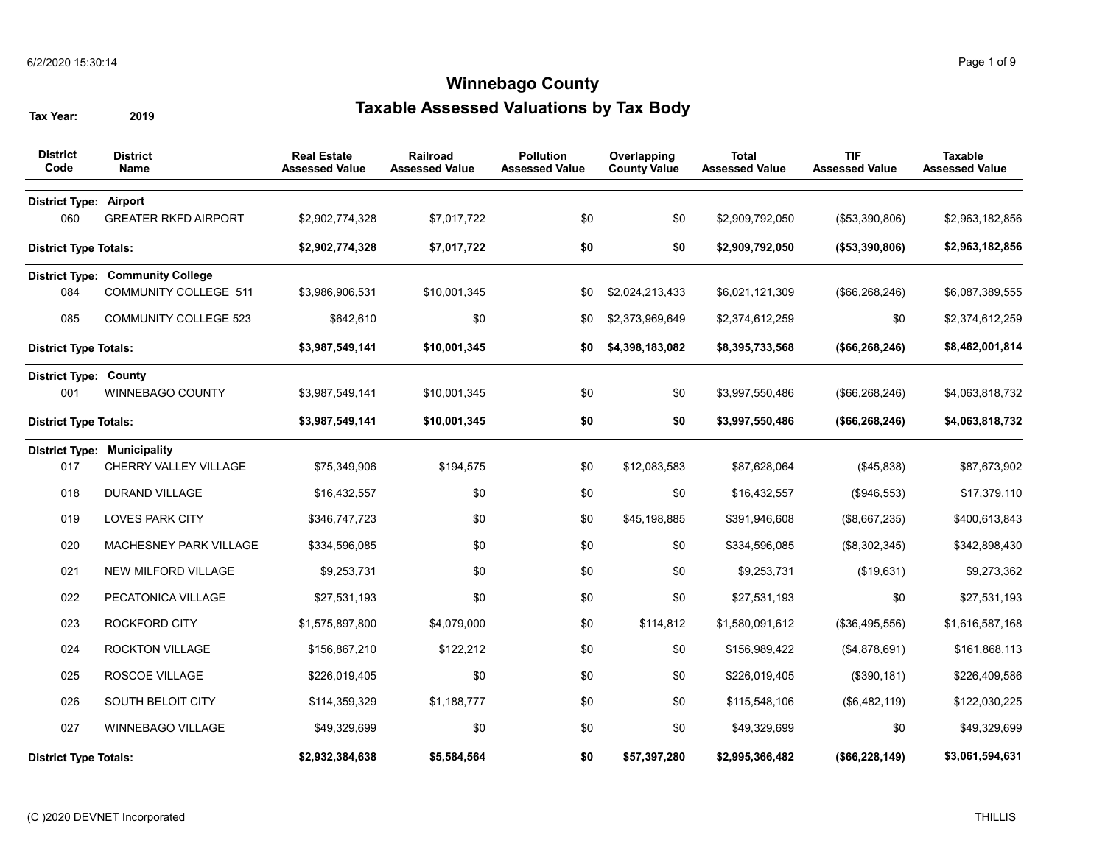| <b>District</b><br>Code       | <b>District</b><br>Name                 | <b>Real Estate</b><br><b>Assessed Value</b> | Railroad<br><b>Assessed Value</b> | <b>Pollution</b><br><b>Assessed Value</b> | Overlapping<br><b>County Value</b> | <b>Total</b><br><b>Assessed Value</b> | <b>TIF</b><br><b>Assessed Value</b> | <b>Taxable</b><br><b>Assessed Value</b> |
|-------------------------------|-----------------------------------------|---------------------------------------------|-----------------------------------|-------------------------------------------|------------------------------------|---------------------------------------|-------------------------------------|-----------------------------------------|
| <b>District Type: Airport</b> |                                         |                                             |                                   |                                           |                                    |                                       |                                     |                                         |
| 060                           | <b>GREATER RKFD AIRPORT</b>             | \$2,902,774,328                             | \$7,017,722                       | \$0                                       | \$0                                | \$2,909,792,050                       | (\$53,390,806)                      | \$2,963,182,856                         |
| <b>District Type Totals:</b>  |                                         | \$2,902,774,328                             | \$7,017,722                       | \$0                                       | \$0                                | \$2,909,792,050                       | (\$53,390,806)                      | \$2,963,182,856                         |
|                               | <b>District Type: Community College</b> |                                             |                                   |                                           |                                    |                                       |                                     |                                         |
| 084                           | <b>COMMUNITY COLLEGE 511</b>            | \$3,986,906,531                             | \$10,001,345                      | \$0                                       | \$2,024,213,433                    | \$6,021,121,309                       | (\$66, 268, 246)                    | \$6,087,389,555                         |
| 085                           | <b>COMMUNITY COLLEGE 523</b>            | \$642,610                                   | \$0                               | \$0                                       | \$2,373,969,649                    | \$2,374,612,259                       | \$0                                 | \$2,374,612,259                         |
| <b>District Type Totals:</b>  |                                         | \$3,987,549,141                             | \$10,001,345                      | \$0                                       | \$4,398,183,082                    | \$8,395,733,568                       | (\$66, 268, 246)                    | \$8,462,001,814                         |
| <b>District Type: County</b>  |                                         |                                             |                                   |                                           |                                    |                                       |                                     |                                         |
| 001                           | <b>WINNEBAGO COUNTY</b>                 | \$3,987,549,141                             | \$10,001,345                      | \$0                                       | \$0                                | \$3,997,550,486                       | (\$66, 268, 246)                    | \$4,063,818,732                         |
| <b>District Type Totals:</b>  |                                         | \$3,987,549,141                             | \$10,001,345                      | \$0                                       | \$0                                | \$3,997,550,486                       | (\$66,268,246)                      | \$4,063,818,732                         |
|                               | <b>District Type: Municipality</b>      |                                             |                                   |                                           |                                    |                                       |                                     |                                         |
| 017                           | CHERRY VALLEY VILLAGE                   | \$75,349,906                                | \$194,575                         | \$0                                       | \$12,083,583                       | \$87,628,064                          | (\$45,838)                          | \$87,673,902                            |
| 018                           | <b>DURAND VILLAGE</b>                   | \$16,432,557                                | \$0                               | \$0                                       | \$0                                | \$16,432,557                          | (\$946,553)                         | \$17,379,110                            |
| 019                           | <b>LOVES PARK CITY</b>                  | \$346,747,723                               | \$0                               | \$0                                       | \$45,198,885                       | \$391,946,608                         | (\$8,667,235)                       | \$400,613,843                           |
| 020                           | MACHESNEY PARK VILLAGE                  | \$334,596,085                               | \$0                               | \$0                                       | \$0                                | \$334,596,085                         | (\$8,302,345)                       | \$342,898,430                           |
| 021                           | NEW MILFORD VILLAGE                     | \$9,253,731                                 | \$0                               | \$0                                       | \$0                                | \$9,253,731                           | (\$19,631)                          | \$9,273,362                             |
| 022                           | PECATONICA VILLAGE                      | \$27,531,193                                | \$0                               | \$0                                       | \$0                                | \$27,531,193                          | \$0                                 | \$27,531,193                            |
| 023                           | <b>ROCKFORD CITY</b>                    | \$1,575,897,800                             | \$4,079,000                       | \$0                                       | \$114,812                          | \$1,580,091,612                       | (\$36,495,556)                      | \$1,616,587,168                         |
| 024                           | <b>ROCKTON VILLAGE</b>                  | \$156,867,210                               | \$122,212                         | \$0                                       | \$0                                | \$156,989,422                         | (\$4,878,691)                       | \$161,868,113                           |
| 025                           | ROSCOE VILLAGE                          | \$226,019,405                               | \$0                               | \$0                                       | \$0                                | \$226,019,405                         | (\$390, 181)                        | \$226,409,586                           |
| 026                           | SOUTH BELOIT CITY                       | \$114,359,329                               | \$1,188,777                       | \$0                                       | \$0                                | \$115,548,106                         | (\$6,482,119)                       | \$122,030,225                           |
| 027                           | WINNEBAGO VILLAGE                       | \$49,329,699                                | \$0                               | \$0                                       | \$0                                | \$49,329,699                          | \$0                                 | \$49,329,699                            |
| <b>District Type Totals:</b>  |                                         | \$2,932,384,638                             | \$5,584,564                       | \$0                                       | \$57,397,280                       | \$2,995,366,482                       | (\$66,228,149)                      | \$3,061,594,631                         |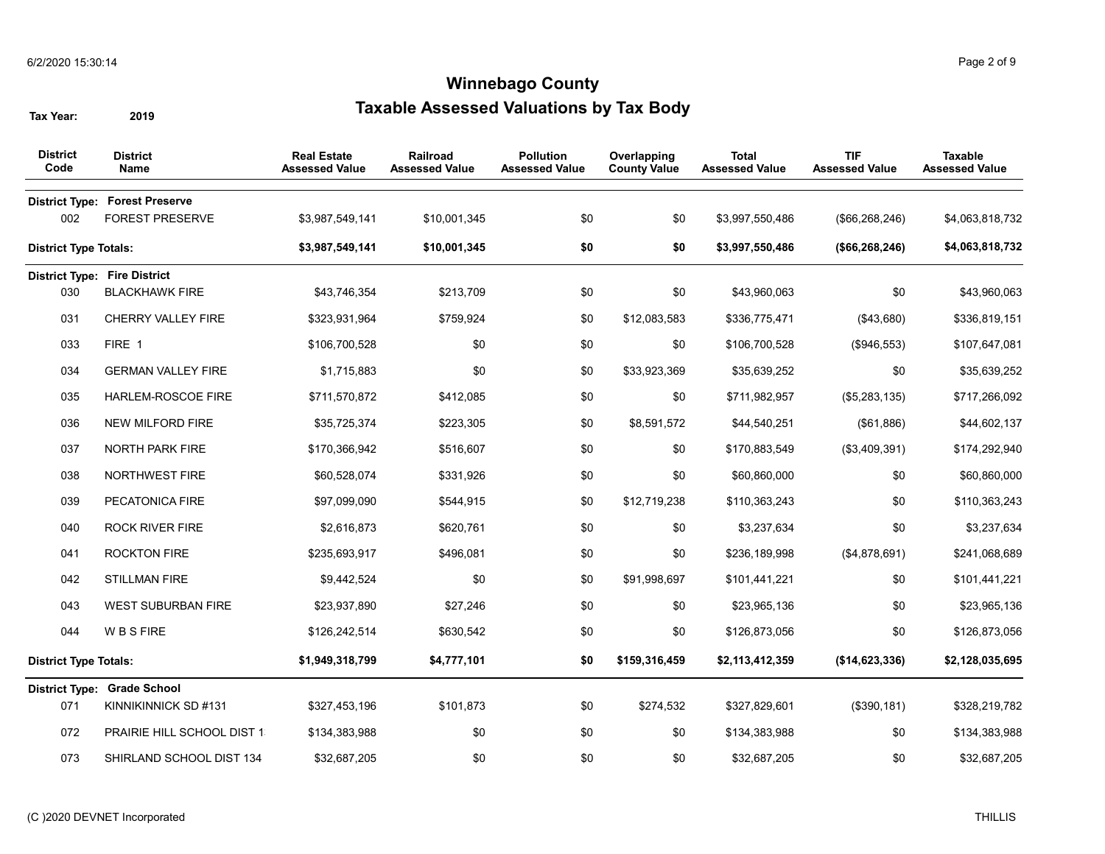| <b>District</b><br>Code      | <b>District</b><br>Name                                         | <b>Real Estate</b><br><b>Assessed Value</b> | Railroad<br><b>Assessed Value</b> | <b>Pollution</b><br><b>Assessed Value</b> | Overlapping<br><b>County Value</b> | <b>Total</b><br><b>Assessed Value</b> | <b>TIF</b><br><b>Assessed Value</b> | <b>Taxable</b><br><b>Assessed Value</b> |
|------------------------------|-----------------------------------------------------------------|---------------------------------------------|-----------------------------------|-------------------------------------------|------------------------------------|---------------------------------------|-------------------------------------|-----------------------------------------|
| 002                          | <b>District Type: Forest Preserve</b><br><b>FOREST PRESERVE</b> | \$3,987,549,141                             | \$10,001,345                      | \$0                                       | \$0                                | \$3,997,550,486                       | (\$66, 268, 246)                    | \$4,063,818,732                         |
| <b>District Type Totals:</b> |                                                                 | \$3,987,549,141                             | \$10,001,345                      | \$0                                       | \$0                                | \$3,997,550,486                       | (\$66, 268, 246)                    | \$4,063,818,732                         |
|                              | <b>District Type: Fire District</b>                             |                                             |                                   |                                           |                                    |                                       |                                     |                                         |
| 030                          | <b>BLACKHAWK FIRE</b>                                           | \$43,746,354                                | \$213,709                         | \$0                                       | \$0                                | \$43,960,063                          | \$0                                 | \$43,960,063                            |
| 031                          | <b>CHERRY VALLEY FIRE</b>                                       | \$323,931,964                               | \$759,924                         | \$0                                       | \$12,083,583                       | \$336,775,471                         | (\$43,680)                          | \$336,819,151                           |
| 033                          | FIRE 1                                                          | \$106,700,528                               | \$0                               | \$0                                       | \$0                                | \$106,700,528                         | (\$946,553)                         | \$107,647,081                           |
| 034                          | <b>GERMAN VALLEY FIRE</b>                                       | \$1,715,883                                 | \$0                               | \$0                                       | \$33,923,369                       | \$35,639,252                          | \$0                                 | \$35,639,252                            |
| 035                          | HARLEM-ROSCOE FIRE                                              | \$711,570,872                               | \$412,085                         | \$0                                       | \$0                                | \$711,982,957                         | (\$5,283,135)                       | \$717,266,092                           |
| 036                          | NEW MILFORD FIRE                                                | \$35,725,374                                | \$223,305                         | \$0                                       | \$8,591,572                        | \$44,540,251                          | (\$61,886)                          | \$44,602,137                            |
| 037                          | <b>NORTH PARK FIRE</b>                                          | \$170,366,942                               | \$516,607                         | \$0                                       | \$0                                | \$170,883,549                         | (\$3,409,391)                       | \$174,292,940                           |
| 038                          | NORTHWEST FIRE                                                  | \$60,528,074                                | \$331,926                         | \$0                                       | \$0                                | \$60,860,000                          | \$0                                 | \$60,860,000                            |
| 039                          | PECATONICA FIRE                                                 | \$97,099,090                                | \$544,915                         | \$0                                       | \$12,719,238                       | \$110,363,243                         | \$0                                 | \$110,363,243                           |
| 040                          | <b>ROCK RIVER FIRE</b>                                          | \$2,616,873                                 | \$620,761                         | \$0                                       | \$0                                | \$3,237,634                           | \$0                                 | \$3,237,634                             |
| 041                          | <b>ROCKTON FIRE</b>                                             | \$235,693,917                               | \$496,081                         | \$0                                       | \$0                                | \$236,189,998                         | (\$4,878,691)                       | \$241,068,689                           |
| 042                          | <b>STILLMAN FIRE</b>                                            | \$9,442,524                                 | \$0                               | \$0                                       | \$91,998,697                       | \$101,441,221                         | \$0                                 | \$101,441,221                           |
| 043                          | <b>WEST SUBURBAN FIRE</b>                                       | \$23,937,890                                | \$27,246                          | \$0                                       | \$0                                | \$23,965,136                          | \$0                                 | \$23,965,136                            |
| 044                          | <b>WBSFIRE</b>                                                  | \$126,242,514                               | \$630,542                         | \$0                                       | \$0                                | \$126,873,056                         | \$0                                 | \$126,873,056                           |
| <b>District Type Totals:</b> |                                                                 | \$1,949,318,799                             | \$4,777,101                       | \$0                                       | \$159,316,459                      | \$2,113,412,359                       | (\$14,623,336)                      | \$2,128,035,695                         |
|                              | <b>District Type: Grade School</b>                              |                                             |                                   |                                           |                                    |                                       |                                     |                                         |
| 071                          | KINNIKINNICK SD #131                                            | \$327,453,196                               | \$101,873                         | \$0                                       | \$274,532                          | \$327,829,601                         | (\$390, 181)                        | \$328,219,782                           |
| 072                          | PRAIRIE HILL SCHOOL DIST 1                                      | \$134,383,988                               | \$0                               | \$0                                       | \$0                                | \$134,383,988                         | \$0                                 | \$134,383,988                           |
| 073                          | SHIRLAND SCHOOL DIST 134                                        | \$32,687,205                                | \$0                               | \$0                                       | \$0                                | \$32,687,205                          | \$0                                 | \$32,687,205                            |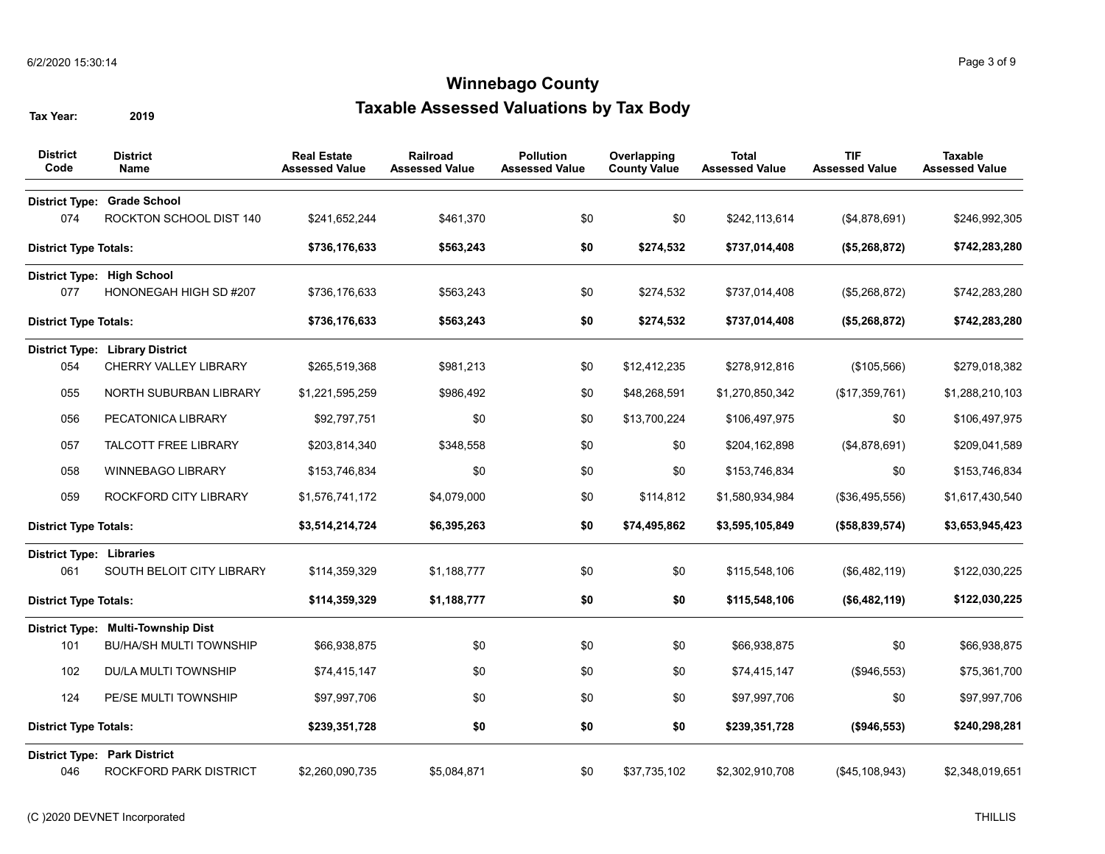| <b>District</b><br>Code         | <b>District</b><br><b>Name</b>         | <b>Real Estate</b><br><b>Assessed Value</b> | Railroad<br><b>Assessed Value</b> | <b>Pollution</b><br><b>Assessed Value</b> | Overlapping<br><b>County Value</b> | <b>Total</b><br><b>Assessed Value</b> | <b>TIF</b><br><b>Assessed Value</b> | <b>Taxable</b><br><b>Assessed Value</b> |
|---------------------------------|----------------------------------------|---------------------------------------------|-----------------------------------|-------------------------------------------|------------------------------------|---------------------------------------|-------------------------------------|-----------------------------------------|
| <b>District Type:</b>           | <b>Grade School</b>                    |                                             |                                   |                                           |                                    |                                       |                                     |                                         |
| 074                             | ROCKTON SCHOOL DIST 140                | \$241,652,244                               | \$461,370                         | \$0                                       | \$0                                | \$242,113,614                         | (\$4,878,691)                       | \$246,992,305                           |
| <b>District Type Totals:</b>    |                                        | \$736,176,633                               | \$563,243                         | \$0                                       | \$274,532                          | \$737,014,408                         | (\$5,268,872)                       | \$742,283,280                           |
|                                 | District Type: High School             |                                             |                                   |                                           |                                    |                                       |                                     |                                         |
| 077                             | HONONEGAH HIGH SD #207                 | \$736,176,633                               | \$563,243                         | \$0                                       | \$274,532                          | \$737,014,408                         | (\$5,268,872)                       | \$742,283,280                           |
| <b>District Type Totals:</b>    |                                        | \$736,176,633                               | \$563,243                         | \$0                                       | \$274,532                          | \$737,014,408                         | (\$5,268,872)                       | \$742,283,280                           |
|                                 | <b>District Type: Library District</b> |                                             |                                   |                                           |                                    |                                       |                                     |                                         |
| 054                             | <b>CHERRY VALLEY LIBRARY</b>           | \$265,519,368                               | \$981,213                         | \$0                                       | \$12,412,235                       | \$278,912,816                         | (\$105,566)                         | \$279,018,382                           |
| 055                             | NORTH SUBURBAN LIBRARY                 | \$1,221,595,259                             | \$986,492                         | \$0                                       | \$48,268,591                       | \$1,270,850,342                       | (\$17,359,761)                      | \$1,288,210,103                         |
| 056                             | PECATONICA LIBRARY                     | \$92,797,751                                | \$0                               | \$0                                       | \$13,700,224                       | \$106,497,975                         | \$0                                 | \$106,497,975                           |
| 057                             | <b>TALCOTT FREE LIBRARY</b>            | \$203,814,340                               | \$348,558                         | \$0                                       | \$0                                | \$204,162,898                         | (\$4,878,691)                       | \$209,041,589                           |
| 058                             | <b>WINNEBAGO LIBRARY</b>               | \$153,746,834                               | \$0                               | \$0                                       | \$0                                | \$153,746,834                         | \$0                                 | \$153,746,834                           |
| 059                             | ROCKFORD CITY LIBRARY                  | \$1,576,741,172                             | \$4,079,000                       | \$0                                       | \$114,812                          | \$1,580,934,984                       | (\$36,495,556)                      | \$1,617,430,540                         |
| <b>District Type Totals:</b>    |                                        | \$3,514,214,724                             | \$6,395,263                       | \$0                                       | \$74,495,862                       | \$3,595,105,849                       | (\$58,839,574)                      | \$3,653,945,423                         |
| <b>District Type: Libraries</b> |                                        |                                             |                                   |                                           |                                    |                                       |                                     |                                         |
| 061                             | SOUTH BELOIT CITY LIBRARY              | \$114,359,329                               | \$1,188,777                       | \$0                                       | \$0                                | \$115,548,106                         | (\$6,482,119)                       | \$122,030,225                           |
| <b>District Type Totals:</b>    |                                        | \$114,359,329                               | \$1,188,777                       | \$0                                       | \$0                                | \$115,548,106                         | (\$6,482,119)                       | \$122,030,225                           |
|                                 | District Type: Multi-Township Dist     |                                             |                                   |                                           |                                    |                                       |                                     |                                         |
| 101                             | <b>BU/HA/SH MULTI TOWNSHIP</b>         | \$66,938,875                                | \$0                               | \$0                                       | \$0                                | \$66,938,875                          | \$0                                 | \$66,938,875                            |
| 102                             | DU/LA MULTI TOWNSHIP                   | \$74,415,147                                | \$0                               | \$0                                       | \$0                                | \$74,415,147                          | (\$946,553)                         | \$75,361,700                            |
| 124                             | PE/SE MULTI TOWNSHIP                   | \$97,997,706                                | \$0                               | \$0                                       | \$0                                | \$97,997,706                          | \$0                                 | \$97,997,706                            |
| <b>District Type Totals:</b>    |                                        | \$239,351,728                               | \$0                               | \$0                                       | \$0                                | \$239,351,728                         | (\$946,553)                         | \$240,298,281                           |
|                                 | <b>District Type: Park District</b>    |                                             |                                   |                                           |                                    |                                       |                                     |                                         |
| 046                             | ROCKFORD PARK DISTRICT                 | \$2,260,090,735                             | \$5,084,871                       | \$0                                       | \$37,735,102                       | \$2,302,910,708                       | (\$45,108,943)                      | \$2,348,019,651                         |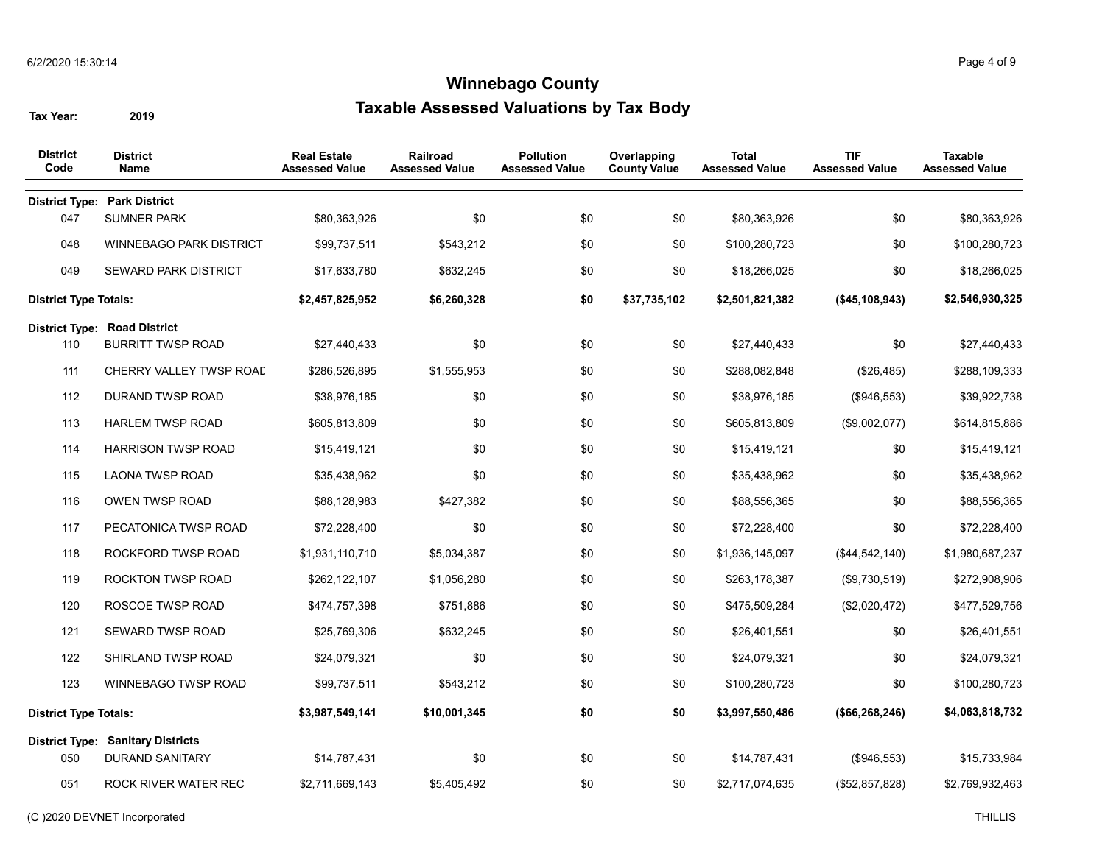| <b>District</b><br>Code      | <b>District</b><br><b>Name</b>           | <b>Real Estate</b><br><b>Assessed Value</b> | Railroad<br><b>Assessed Value</b> | <b>Pollution</b><br><b>Assessed Value</b> | Overlapping<br><b>County Value</b> | <b>Total</b><br><b>Assessed Value</b> | <b>TIF</b><br><b>Assessed Value</b> | <b>Taxable</b><br><b>Assessed Value</b> |
|------------------------------|------------------------------------------|---------------------------------------------|-----------------------------------|-------------------------------------------|------------------------------------|---------------------------------------|-------------------------------------|-----------------------------------------|
|                              | <b>District Type: Park District</b>      |                                             |                                   |                                           |                                    |                                       |                                     |                                         |
| 047                          | SUMNER PARK                              | \$80,363,926                                | \$0                               | \$0                                       | \$0                                | \$80,363,926                          | \$0                                 | \$80,363,926                            |
| 048                          | <b>WINNEBAGO PARK DISTRICT</b>           | \$99,737,511                                | \$543,212                         | \$0                                       | \$0                                | \$100,280,723                         | \$0                                 | \$100,280,723                           |
| 049                          | <b>SEWARD PARK DISTRICT</b>              | \$17,633,780                                | \$632,245                         | \$0                                       | \$0                                | \$18,266,025                          | \$0                                 | \$18,266,025                            |
| <b>District Type Totals:</b> |                                          | \$2,457,825,952                             | \$6,260,328                       | \$0                                       | \$37,735,102                       | \$2,501,821,382                       | (\$45,108,943)                      | \$2,546,930,325                         |
|                              | <b>District Type: Road District</b>      |                                             |                                   |                                           |                                    |                                       |                                     |                                         |
| 110                          | <b>BURRITT TWSP ROAD</b>                 | \$27,440,433                                | \$0                               | \$0                                       | \$0                                | \$27,440,433                          | \$0                                 | \$27,440,433                            |
| 111                          | CHERRY VALLEY TWSP ROAD                  | \$286,526,895                               | \$1,555,953                       | \$0                                       | \$0                                | \$288,082,848                         | (\$26,485)                          | \$288,109,333                           |
| 112                          | DURAND TWSP ROAD                         | \$38,976,185                                | \$0                               | \$0                                       | \$0                                | \$38,976,185                          | (\$946,553)                         | \$39,922,738                            |
| 113                          | <b>HARLEM TWSP ROAD</b>                  | \$605,813,809                               | \$0                               | \$0                                       | \$0                                | \$605,813,809                         | (\$9,002,077)                       | \$614,815,886                           |
| 114                          | <b>HARRISON TWSP ROAD</b>                | \$15,419,121                                | \$0                               | \$0                                       | \$0                                | \$15,419,121                          | \$0                                 | \$15,419,121                            |
| 115                          | <b>LAONA TWSP ROAD</b>                   | \$35,438,962                                | \$0                               | \$0                                       | \$0                                | \$35,438,962                          | \$0                                 | \$35,438,962                            |
| 116                          | OWEN TWSP ROAD                           | \$88,128,983                                | \$427,382                         | \$0                                       | \$0                                | \$88,556,365                          | \$0                                 | \$88,556,365                            |
| 117                          | PECATONICA TWSP ROAD                     | \$72,228,400                                | \$0                               | \$0                                       | \$0                                | \$72,228,400                          | \$0                                 | \$72,228,400                            |
| 118                          | ROCKFORD TWSP ROAD                       | \$1,931,110,710                             | \$5,034,387                       | \$0                                       | \$0                                | \$1,936,145,097                       | (\$44,542,140)                      | \$1,980,687,237                         |
| 119                          | ROCKTON TWSP ROAD                        | \$262,122,107                               | \$1,056,280                       | \$0                                       | \$0                                | \$263,178,387                         | (\$9,730,519)                       | \$272,908,906                           |
| 120                          | ROSCOE TWSP ROAD                         | \$474,757,398                               | \$751,886                         | \$0                                       | \$0                                | \$475,509,284                         | (\$2,020,472)                       | \$477,529,756                           |
| 121                          | SEWARD TWSP ROAD                         | \$25,769,306                                | \$632,245                         | \$0                                       | \$0                                | \$26,401,551                          | \$0                                 | \$26,401,551                            |
| 122                          | SHIRLAND TWSP ROAD                       | \$24,079,321                                | \$0                               | \$0                                       | \$0                                | \$24,079,321                          | \$0                                 | \$24,079,321                            |
| 123                          | WINNEBAGO TWSP ROAD                      | \$99,737,511                                | \$543,212                         | \$0                                       | \$0                                | \$100,280,723                         | \$0                                 | \$100,280,723                           |
| <b>District Type Totals:</b> |                                          | \$3,987,549,141                             | \$10,001,345                      | \$0                                       | \$0                                | \$3,997,550,486                       | (\$66, 268, 246)                    | \$4,063,818,732                         |
|                              | <b>District Type: Sanitary Districts</b> |                                             |                                   |                                           |                                    |                                       |                                     |                                         |
| 050                          | <b>DURAND SANITARY</b>                   | \$14,787,431                                | \$0                               | \$0                                       | \$0                                | \$14,787,431                          | (\$946,553)                         | \$15,733,984                            |
| 051                          | ROCK RIVER WATER REC                     | \$2,711,669,143                             | \$5,405,492                       | \$0                                       | \$0                                | \$2,717,074,635                       | (\$52,857,828)                      | \$2,769,932,463                         |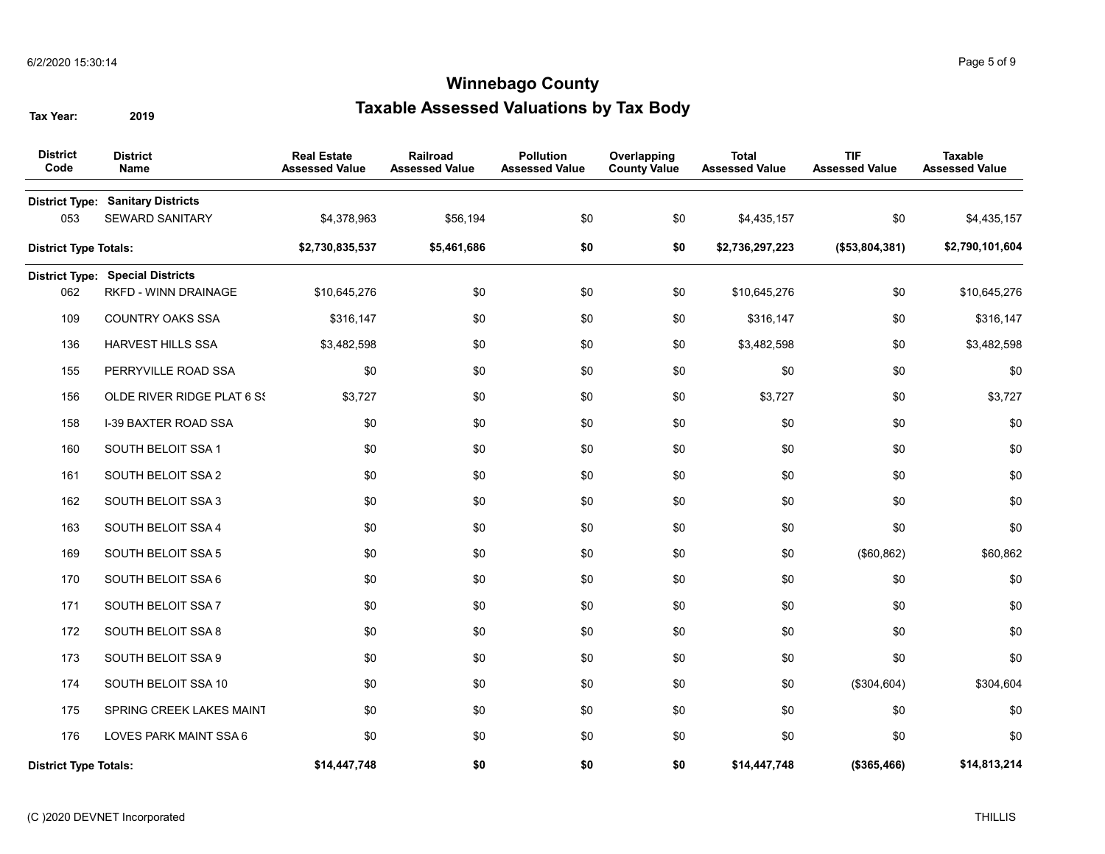| <b>District</b><br>Code      | <b>District</b><br>Name                                            | <b>Real Estate</b><br><b>Assessed Value</b> | Railroad<br><b>Assessed Value</b> | <b>Pollution</b><br><b>Assessed Value</b> | Overlapping<br><b>County Value</b> | <b>Total</b><br><b>Assessed Value</b> | <b>TIF</b><br><b>Assessed Value</b> | <b>Taxable</b><br><b>Assessed Value</b> |
|------------------------------|--------------------------------------------------------------------|---------------------------------------------|-----------------------------------|-------------------------------------------|------------------------------------|---------------------------------------|-------------------------------------|-----------------------------------------|
| 053                          | <b>District Type: Sanitary Districts</b><br><b>SEWARD SANITARY</b> | \$4,378,963                                 | \$56,194                          | \$0                                       | \$0                                | \$4,435,157                           | \$0                                 | \$4,435,157                             |
| <b>District Type Totals:</b> |                                                                    | \$2,730,835,537                             | \$5,461,686                       | \$0                                       | \$0                                | \$2,736,297,223                       | (\$53,804,381)                      | \$2,790,101,604                         |
|                              | <b>District Type: Special Districts</b>                            |                                             |                                   |                                           |                                    |                                       |                                     |                                         |
| 062                          | RKFD - WINN DRAINAGE                                               | \$10,645,276                                | \$0                               | \$0                                       | \$0                                | \$10,645,276                          | \$0                                 | \$10,645,276                            |
| 109                          | <b>COUNTRY OAKS SSA</b>                                            | \$316,147                                   | \$0                               | \$0                                       | \$0                                | \$316,147                             | \$0                                 | \$316,147                               |
| 136                          | <b>HARVEST HILLS SSA</b>                                           | \$3,482,598                                 | \$0                               | \$0                                       | \$0                                | \$3,482,598                           | \$0                                 | \$3,482,598                             |
| 155                          | PERRYVILLE ROAD SSA                                                | \$0                                         | \$0                               | \$0                                       | \$0                                | \$0                                   | \$0                                 | \$0                                     |
| 156                          | OLDE RIVER RIDGE PLAT 6 SS                                         | \$3,727                                     | \$0                               | \$0                                       | \$0                                | \$3,727                               | \$0                                 | \$3,727                                 |
| 158                          | <b>I-39 BAXTER ROAD SSA</b>                                        | \$0                                         | \$0                               | \$0                                       | \$0                                | \$0                                   | \$0                                 | \$0                                     |
| 160                          | SOUTH BELOIT SSA 1                                                 | \$0                                         | \$0                               | \$0                                       | \$0                                | \$0                                   | \$0                                 | \$0                                     |
| 161                          | SOUTH BELOIT SSA 2                                                 | \$0                                         | \$0                               | \$0                                       | \$0                                | \$0                                   | \$0                                 | \$0                                     |
| 162                          | SOUTH BELOIT SSA 3                                                 | \$0                                         | \$0                               | \$0                                       | \$0                                | \$0                                   | \$0                                 | \$0                                     |
| 163                          | SOUTH BELOIT SSA 4                                                 | \$0                                         | \$0                               | \$0                                       | \$0                                | \$0                                   | \$0                                 | \$0                                     |
| 169                          | SOUTH BELOIT SSA 5                                                 | \$0                                         | \$0                               | \$0                                       | \$0                                | \$0                                   | (\$60, 862)                         | \$60,862                                |
| 170                          | SOUTH BELOIT SSA 6                                                 | \$0                                         | \$0                               | \$0                                       | \$0                                | \$0                                   | \$0                                 | \$0                                     |
| 171                          | SOUTH BELOIT SSA 7                                                 | \$0                                         | \$0                               | \$0                                       | \$0                                | \$0                                   | \$0                                 | \$0                                     |
| 172                          | SOUTH BELOIT SSA 8                                                 | \$0                                         | \$0                               | \$0                                       | \$0                                | \$0                                   | \$0                                 | \$0                                     |
| 173                          | SOUTH BELOIT SSA 9                                                 | \$0                                         | \$0                               | \$0                                       | \$0                                | \$0                                   | \$0                                 | \$0                                     |
| 174                          | SOUTH BELOIT SSA 10                                                | \$0                                         | \$0                               | \$0                                       | \$0                                | \$0                                   | (\$304,604)                         | \$304,604                               |
| 175                          | SPRING CREEK LAKES MAINT                                           | \$0                                         | \$0                               | \$0                                       | \$0                                | \$0                                   | \$0                                 | \$0                                     |
| 176                          | LOVES PARK MAINT SSA 6                                             | \$0                                         | \$0                               | \$0                                       | \$0                                | \$0                                   | \$0                                 | \$0                                     |
| <b>District Type Totals:</b> |                                                                    | \$14,447,748                                | \$0                               | \$0                                       | \$0                                | \$14,447,748                          | (\$365,466)                         | \$14,813,214                            |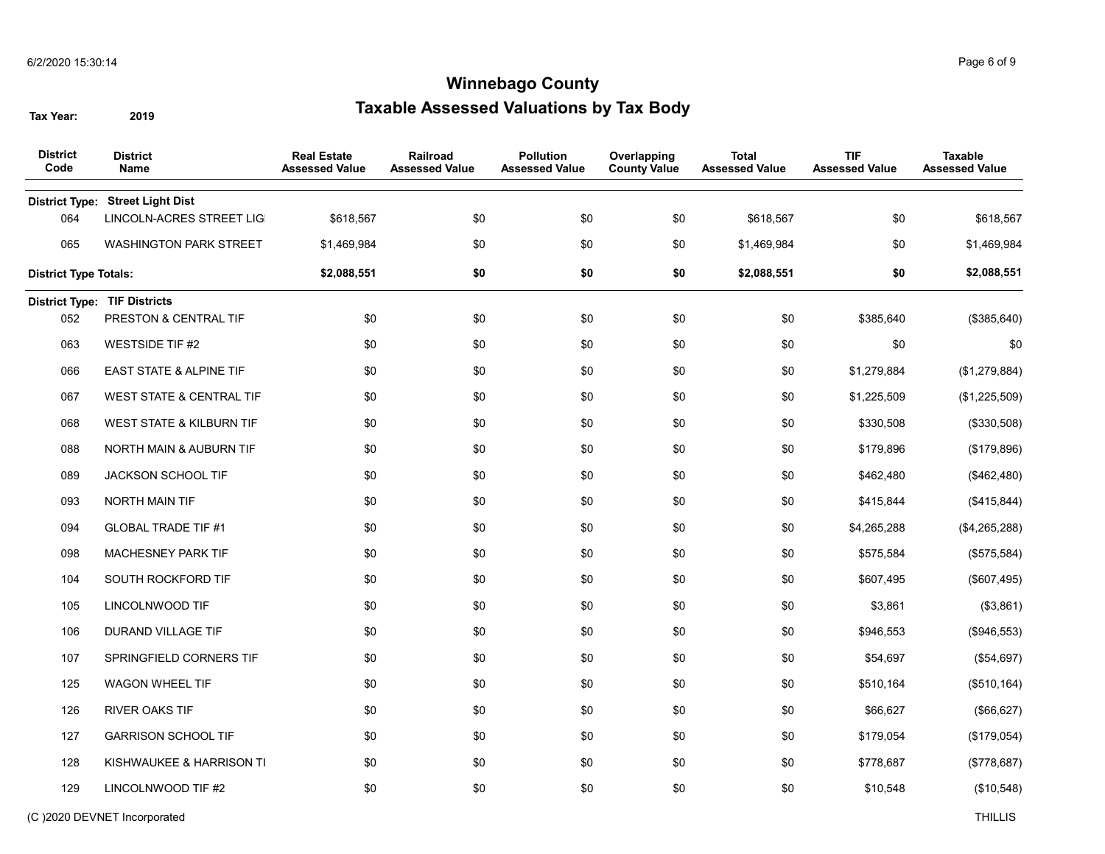| <b>District</b><br>Code      | <b>District</b><br>Name             | <b>Real Estate</b><br><b>Assessed Value</b> | Railroad<br><b>Assessed Value</b> | <b>Pollution</b><br><b>Assessed Value</b> | Overlapping<br><b>County Value</b> | <b>Total</b><br><b>Assessed Value</b> | <b>TIF</b><br><b>Assessed Value</b> | <b>Taxable</b><br><b>Assessed Value</b> |
|------------------------------|-------------------------------------|---------------------------------------------|-----------------------------------|-------------------------------------------|------------------------------------|---------------------------------------|-------------------------------------|-----------------------------------------|
| <b>District Type:</b>        | <b>Street Light Dist</b>            |                                             |                                   |                                           |                                    |                                       |                                     |                                         |
| 064                          | LINCOLN-ACRES STREET LIG            | \$618,567                                   | \$0                               | \$0                                       | \$0                                | \$618,567                             | \$0                                 | \$618,567                               |
| 065                          | <b>WASHINGTON PARK STREET</b>       | \$1,469,984                                 | \$0                               | \$0                                       | \$0                                | \$1,469,984                           | \$0                                 | \$1,469,984                             |
| <b>District Type Totals:</b> |                                     | \$2,088,551                                 | \$0                               | \$0                                       | \$0                                | \$2,088,551                           | \$0                                 | \$2,088,551                             |
|                              | <b>District Type: TIF Districts</b> |                                             |                                   |                                           |                                    |                                       |                                     |                                         |
| 052                          | PRESTON & CENTRAL TIF               | \$0                                         | \$0                               | \$0                                       | \$0                                | \$0                                   | \$385,640                           | (\$385,640)                             |
| 063                          | <b>WESTSIDE TIF #2</b>              | \$0                                         | \$0                               | \$0                                       | \$0                                | \$0                                   | \$0                                 | \$0                                     |
| 066                          | <b>EAST STATE &amp; ALPINE TIF</b>  | \$0                                         | \$0                               | \$0                                       | \$0                                | \$0                                   | \$1,279,884                         | (\$1,279,884)                           |
| 067                          | <b>WEST STATE &amp; CENTRAL TIF</b> | \$0                                         | \$0                               | \$0                                       | \$0                                | \$0                                   | \$1,225,509                         | (\$1,225,509)                           |
| 068                          | WEST STATE & KILBURN TIF            | \$0                                         | \$0                               | \$0                                       | \$0                                | \$0                                   | \$330,508                           | (\$330,508)                             |
| 088                          | NORTH MAIN & AUBURN TIF             | \$0                                         | \$0                               | \$0                                       | \$0                                | \$0                                   | \$179,896                           | (\$179,896)                             |
| 089                          | JACKSON SCHOOL TIF                  | \$0                                         | \$0                               | \$0                                       | \$0                                | \$0                                   | \$462,480                           | (\$462,480)                             |
| 093                          | NORTH MAIN TIF                      | \$0                                         | \$0                               | \$0                                       | \$0                                | \$0                                   | \$415,844                           | (\$415,844)                             |
| 094                          | <b>GLOBAL TRADE TIF #1</b>          | \$0                                         | \$0                               | \$0                                       | \$0                                | \$0                                   | \$4,265,288                         | (\$4,265,288)                           |
| 098                          | MACHESNEY PARK TIF                  | \$0                                         | \$0                               | \$0                                       | \$0                                | \$0                                   | \$575,584                           | (\$575,584)                             |
| 104                          | SOUTH ROCKFORD TIF                  | \$0                                         | \$0                               | \$0                                       | \$0                                | \$0                                   | \$607,495                           | (\$607,495)                             |
| 105                          | LINCOLNWOOD TIF                     | \$0                                         | \$0                               | \$0                                       | \$0                                | \$0                                   | \$3,861                             | (\$3,861)                               |
| 106                          | DURAND VILLAGE TIF                  | \$0                                         | \$0                               | \$0                                       | \$0                                | \$0                                   | \$946,553                           | (\$946,553)                             |
| 107                          | SPRINGFIELD CORNERS TIF             | \$0                                         | \$0                               | \$0                                       | \$0                                | \$0                                   | \$54,697                            | (\$54,697)                              |
| 125                          | <b>WAGON WHEEL TIF</b>              | \$0                                         | \$0                               | \$0                                       | \$0                                | \$0                                   | \$510,164                           | (\$510, 164)                            |
| 126                          | <b>RIVER OAKS TIF</b>               | \$0                                         | \$0                               | \$0                                       | \$0                                | \$0                                   | \$66,627                            | (\$66, 627)                             |
| 127                          | <b>GARRISON SCHOOL TIF</b>          | \$0                                         | \$0                               | \$0                                       | \$0                                | \$0                                   | \$179,054                           | (\$179,054)                             |
| 128                          | KISHWAUKEE & HARRISON TI            | \$0                                         | \$0                               | \$0                                       | \$0                                | \$0                                   | \$778,687                           | (\$778,687)                             |
| 129                          | LINCOLNWOOD TIF #2                  | \$0                                         | \$0                               | \$0                                       | \$0                                | \$0                                   | \$10,548                            | (\$10,548)                              |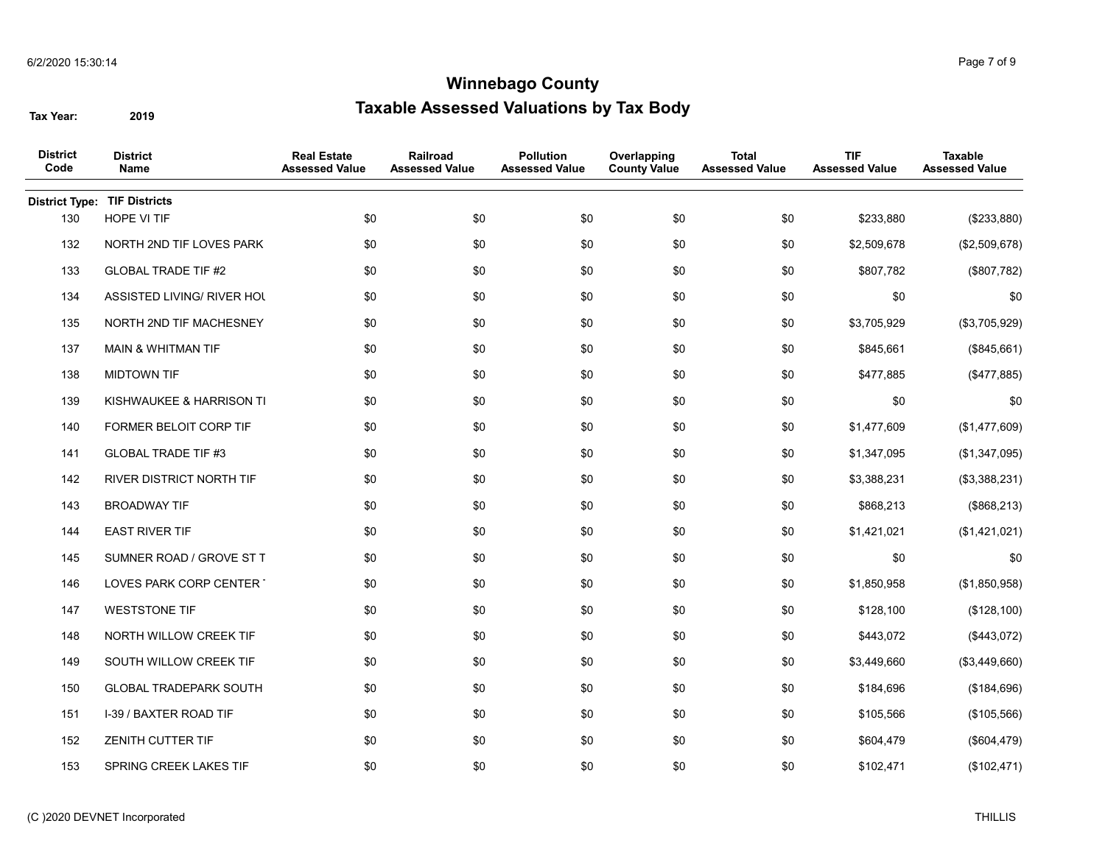| <b>District</b><br>Code | <b>District</b><br>Name         | <b>Real Estate</b><br><b>Assessed Value</b> | Railroad<br><b>Assessed Value</b> | <b>Pollution</b><br><b>Assessed Value</b> | Overlapping<br><b>County Value</b> | <b>Total</b><br><b>Assessed Value</b> | <b>TIF</b><br><b>Assessed Value</b> | <b>Taxable</b><br><b>Assessed Value</b> |
|-------------------------|---------------------------------|---------------------------------------------|-----------------------------------|-------------------------------------------|------------------------------------|---------------------------------------|-------------------------------------|-----------------------------------------|
| <b>District Type:</b>   | <b>TIF Districts</b>            |                                             |                                   |                                           |                                    |                                       |                                     |                                         |
| 130                     | HOPE VI TIF                     | \$0                                         | \$0                               | \$0                                       | \$0                                | \$0                                   | \$233,880                           | (\$233,880)                             |
| 132                     | NORTH 2ND TIF LOVES PARK        | \$0                                         | \$0                               | \$0                                       | \$0                                | \$0                                   | \$2,509,678                         | (\$2,509,678)                           |
| 133                     | <b>GLOBAL TRADE TIF #2</b>      | \$0                                         | \$0                               | \$0                                       | \$0                                | \$0                                   | \$807,782                           | (\$807,782)                             |
| 134                     | ASSISTED LIVING/ RIVER HOL      | \$0                                         | \$0                               | \$0                                       | \$0                                | \$0                                   | \$0                                 | \$0                                     |
| 135                     | NORTH 2ND TIF MACHESNEY         | \$0                                         | \$0                               | \$0                                       | \$0                                | \$0                                   | \$3,705,929                         | (\$3,705,929)                           |
| 137                     | <b>MAIN &amp; WHITMAN TIF</b>   | \$0                                         | \$0                               | \$0                                       | \$0                                | \$0                                   | \$845,661                           | (\$845,661)                             |
| 138                     | <b>MIDTOWN TIF</b>              | \$0                                         | \$0                               | \$0                                       | \$0                                | \$0                                   | \$477,885                           | (\$477,885)                             |
| 139                     | KISHWAUKEE & HARRISON TI        | \$0                                         | \$0                               | \$0                                       | \$0                                | \$0                                   | \$0                                 | \$0                                     |
| 140                     | <b>FORMER BELOIT CORP TIF</b>   | \$0                                         | \$0                               | \$0                                       | \$0                                | \$0                                   | \$1,477,609                         | (\$1,477,609)                           |
| 141                     | <b>GLOBAL TRADE TIF #3</b>      | \$0                                         | \$0                               | \$0                                       | \$0                                | \$0                                   | \$1,347,095                         | (\$1,347,095)                           |
| 142                     | <b>RIVER DISTRICT NORTH TIF</b> | \$0                                         | \$0                               | \$0                                       | \$0                                | \$0                                   | \$3,388,231                         | (\$3,388,231)                           |
| 143                     | <b>BROADWAY TIF</b>             | \$0                                         | \$0                               | \$0                                       | \$0                                | \$0                                   | \$868,213                           | (\$868,213)                             |
| 144                     | <b>EAST RIVER TIF</b>           | \$0                                         | \$0                               | \$0                                       | \$0                                | \$0                                   | \$1,421,021                         | (\$1,421,021)                           |
| 145                     | SUMNER ROAD / GROVE ST T        | \$0                                         | \$0                               | \$0                                       | \$0                                | \$0                                   | \$0                                 | \$0                                     |
| 146                     | LOVES PARK CORP CENTER          | \$0                                         | \$0                               | \$0                                       | \$0                                | \$0                                   | \$1,850,958                         | (\$1,850,958)                           |
| 147                     | <b>WESTSTONE TIF</b>            | \$0                                         | \$0                               | \$0                                       | \$0                                | \$0                                   | \$128,100                           | (\$128,100)                             |
| 148                     | NORTH WILLOW CREEK TIF          | \$0                                         | \$0                               | \$0                                       | \$0                                | \$0                                   | \$443,072                           | (\$443,072)                             |
| 149                     | SOUTH WILLOW CREEK TIF          | \$0                                         | \$0                               | \$0                                       | \$0                                | \$0                                   | \$3,449,660                         | (\$3,449,660)                           |
| 150                     | <b>GLOBAL TRADEPARK SOUTH</b>   | \$0                                         | \$0                               | \$0                                       | \$0                                | \$0                                   | \$184,696                           | (\$184,696)                             |
| 151                     | I-39 / BAXTER ROAD TIF          | \$0                                         | \$0                               | \$0                                       | \$0                                | \$0                                   | \$105,566                           | (\$105,566)                             |
| 152                     | <b>ZENITH CUTTER TIF</b>        | \$0                                         | \$0                               | \$0                                       | \$0                                | \$0                                   | \$604,479                           | (\$604, 479)                            |
| 153                     | SPRING CREEK LAKES TIF          | \$0                                         | \$0                               | \$0                                       | \$0                                | \$0                                   | \$102,471                           | (\$102,471)                             |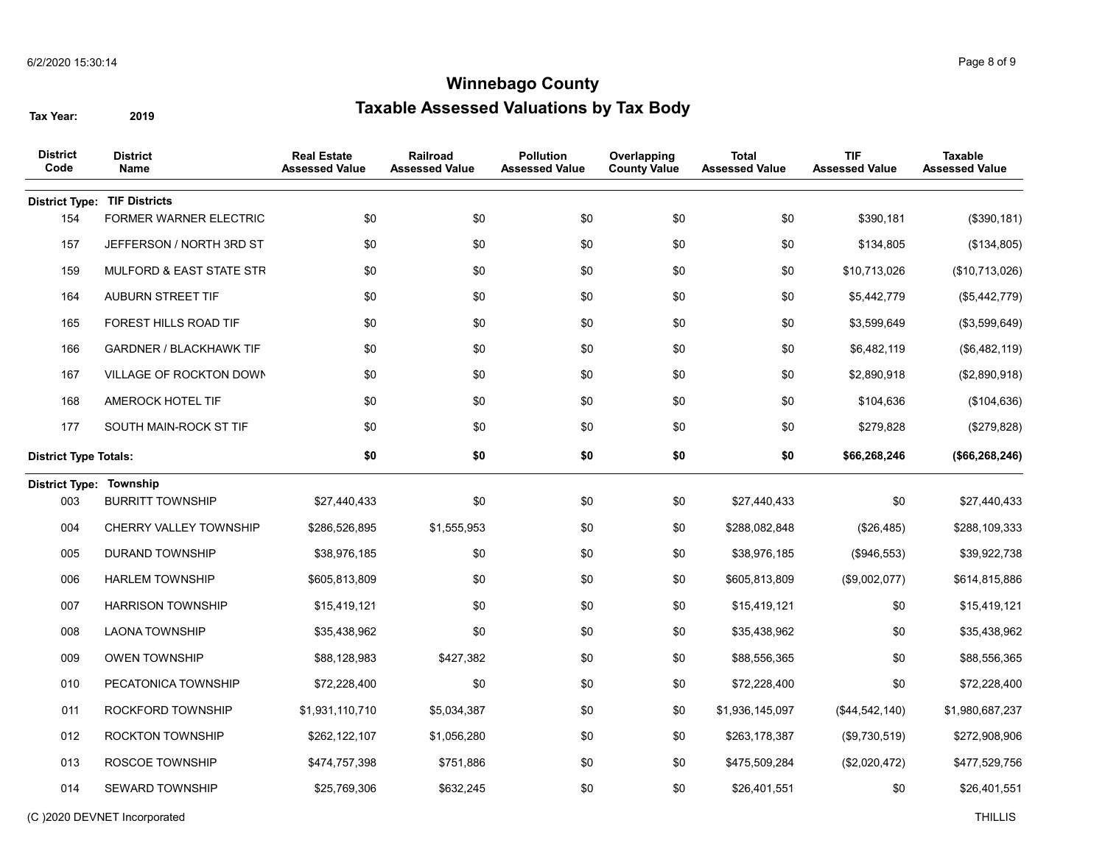| <b>District</b><br>Code        | <b>District</b><br>Name             | <b>Real Estate</b><br><b>Assessed Value</b> | Railroad<br><b>Assessed Value</b> | <b>Pollution</b><br><b>Assessed Value</b> | Overlapping<br><b>County Value</b> | <b>Total</b><br><b>Assessed Value</b> | <b>TIF</b><br><b>Assessed Value</b> | <b>Taxable</b><br><b>Assessed Value</b> |
|--------------------------------|-------------------------------------|---------------------------------------------|-----------------------------------|-------------------------------------------|------------------------------------|---------------------------------------|-------------------------------------|-----------------------------------------|
| <b>District Type:</b>          | <b>TIF Districts</b>                |                                             |                                   |                                           |                                    |                                       |                                     |                                         |
| 154                            | FORMER WARNER ELECTRIC              | \$0                                         | \$0                               | \$0                                       | \$0                                | \$0                                   | \$390,181                           | (\$390, 181)                            |
| 157                            | JEFFERSON / NORTH 3RD ST            | \$0                                         | \$0                               | \$0                                       | \$0                                | \$0                                   | \$134,805                           | (\$134,805)                             |
| 159                            | <b>MULFORD &amp; EAST STATE STR</b> | \$0                                         | \$0                               | \$0                                       | \$0                                | \$0                                   | \$10,713,026                        | (\$10,713,026)                          |
| 164                            | <b>AUBURN STREET TIF</b>            | \$0                                         | \$0                               | \$0                                       | \$0                                | \$0                                   | \$5,442,779                         | (\$5,442,779)                           |
| 165                            | FOREST HILLS ROAD TIF               | \$0                                         | \$0                               | \$0                                       | \$0                                | \$0                                   | \$3,599,649                         | (\$3,599,649)                           |
| 166                            | <b>GARDNER / BLACKHAWK TIF</b>      | \$0                                         | \$0                               | \$0                                       | \$0                                | \$0                                   | \$6,482,119                         | (\$6,482,119)                           |
| 167                            | VILLAGE OF ROCKTON DOWN             | \$0                                         | \$0                               | \$0                                       | \$0                                | \$0                                   | \$2,890,918                         | (\$2,890,918)                           |
| 168                            | AMEROCK HOTEL TIF                   | \$0                                         | \$0                               | \$0                                       | \$0                                | \$0                                   | \$104,636                           | (\$104, 636)                            |
| 177                            | SOUTH MAIN-ROCK ST TIF              | \$0                                         | \$0                               | \$0                                       | \$0                                | \$0                                   | \$279,828                           | (\$279,828)                             |
| <b>District Type Totals:</b>   |                                     | \$0                                         | \$0                               | \$0                                       | \$0                                | \$0                                   | \$66,268,246                        | (\$66, 268, 246)                        |
| <b>District Type: Township</b> |                                     |                                             |                                   |                                           |                                    |                                       |                                     |                                         |
| 003                            | <b>BURRITT TOWNSHIP</b>             | \$27,440,433                                | \$0                               | \$0                                       | \$0                                | \$27,440,433                          | \$0                                 | \$27,440,433                            |
| 004                            | CHERRY VALLEY TOWNSHIP              | \$286,526,895                               | \$1,555,953                       | \$0                                       | \$0                                | \$288,082,848                         | (\$26,485)                          | \$288,109,333                           |
| 005                            | <b>DURAND TOWNSHIP</b>              | \$38,976,185                                | \$0                               | \$0                                       | \$0                                | \$38,976,185                          | (\$946,553)                         | \$39,922,738                            |
| 006                            | <b>HARLEM TOWNSHIP</b>              | \$605,813,809                               | \$0                               | \$0                                       | \$0                                | \$605,813,809                         | (\$9,002,077)                       | \$614,815,886                           |
| 007                            | <b>HARRISON TOWNSHIP</b>            | \$15,419,121                                | \$0                               | \$0                                       | \$0                                | \$15,419,121                          | \$0                                 | \$15,419,121                            |
| 008                            | <b>LAONA TOWNSHIP</b>               | \$35,438,962                                | \$0                               | \$0                                       | \$0                                | \$35,438,962                          | \$0                                 | \$35,438,962                            |
| 009                            | <b>OWEN TOWNSHIP</b>                | \$88,128,983                                | \$427,382                         | \$0                                       | \$0                                | \$88,556,365                          | \$0                                 | \$88,556,365                            |
| 010                            | PECATONICA TOWNSHIP                 | \$72,228,400                                | \$0                               | \$0                                       | \$0                                | \$72,228,400                          | \$0                                 | \$72,228,400                            |
| 011                            | ROCKFORD TOWNSHIP                   | \$1,931,110,710                             | \$5,034,387                       | \$0                                       | \$0                                | \$1,936,145,097                       | (\$44,542,140)                      | \$1,980,687,237                         |
| 012                            | <b>ROCKTON TOWNSHIP</b>             | \$262,122,107                               | \$1,056,280                       | \$0                                       | \$0                                | \$263,178,387                         | (\$9,730,519)                       | \$272,908,906                           |
| 013                            | ROSCOE TOWNSHIP                     | \$474,757,398                               | \$751,886                         | \$0                                       | \$0                                | \$475,509,284                         | (\$2,020,472)                       | \$477,529,756                           |
| 014                            | <b>SEWARD TOWNSHIP</b>              | \$25,769,306                                | \$632,245                         | \$0                                       | \$0                                | \$26,401,551                          | \$0                                 | \$26,401,551                            |